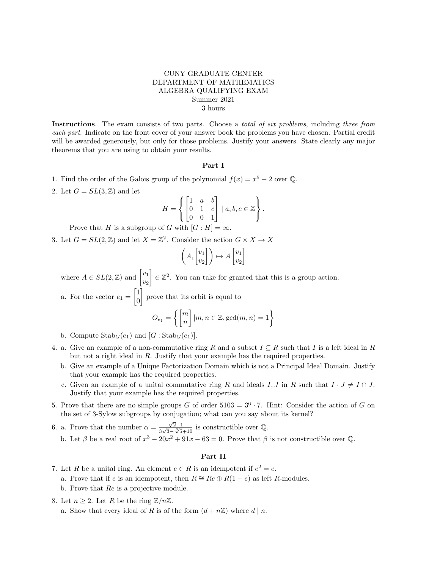## CUNY GRADUATE CENTER DEPARTMENT OF MATHEMATICS ALGEBRA QUALIFYING EXAM Summer 2021 3 hours

Instructions. The exam consists of two parts. Choose a *total of six problems*, including three from each part. Indicate on the front cover of your answer book the problems you have chosen. Partial credit will be awarded generously, but only for those problems. Justify your answers. State clearly any major theorems that you are using to obtain your results.

## Part I

- 1. Find the order of the Galois group of the polynomial  $f(x) = x^5 2$  over Q.
- 2. Let  $G = SL(3, \mathbb{Z})$  and let

$$
H = \left\{ \begin{bmatrix} 1 & a & b \\ 0 & 1 & c \\ 0 & 0 & 1 \end{bmatrix} \mid a, b, c \in \mathbb{Z} \right\}.
$$

Prove that H is a subgroup of G with  $[G:H] = \infty$ .

3. Let  $G = SL(2, \mathbb{Z})$  and let  $X = \mathbb{Z}^2$ . Consider the action  $G \times X \to X$ 

$$
\left(A, \begin{bmatrix} v_1 \\ v_2 \end{bmatrix}\right) \mapsto A \begin{bmatrix} v_1 \\ v_2 \end{bmatrix}
$$

where  $A \in SL(2, \mathbb{Z})$  and  $\begin{bmatrix} v_1 \\ u_2 \end{bmatrix}$  $v_2$  $\Big] \in \mathbb{Z}^2$ . You can take for granted that this is a group action.

a. For the vector  $e_1 = \begin{bmatrix} 1 \\ 0 \end{bmatrix}$ 0 prove that its orbit is equal to

$$
O_{e_1} = \left\{ \begin{bmatrix} m \\ n \end{bmatrix} | m, n \in \mathbb{Z}, \gcd(m, n) = 1 \right\}
$$

- b. Compute  $\text{Stab}_G(e_1)$  and  $[G:\text{Stab}_G(e_1)]$ .
- 4. a. Give an example of a non-commutative ring R and a subset  $I \subseteq R$  such that I is a left ideal in R but not a right ideal in R. Justify that your example has the required properties.
	- b. Give an example of a Unique Factorization Domain which is not a Principal Ideal Domain. Justify that your example has the required properties.
	- c. Given an example of a unital commutative ring R and ideals I, J in R such that  $I \cdot J \neq I \cap J$ . Justify that your example has the required properties.
- 5. Prove that there are no simple groups G of order  $5103 = 3^6 \cdot 7$ . Hint: Consider the action of G on the set of 3-Sylow subgroups by conjugation; what can you say about its kernel?
- 6. a. Prove that the number  $\alpha = \frac{\sqrt{2}+1}{2\sqrt{2}}$  $\frac{\sqrt{2}+1}{\sqrt{3}-\sqrt[8]{5}+10}$  is constructible over  $\mathbb{Q}$ . b. Let  $\beta$  be a real root of  $x^3 - 20x^2 + 91x - 63 = 0$ . Prove that  $\beta$  is not constructible over Q.

## Part II

- 7. Let R be a unital ring. An element  $e \in R$  is an idempotent if  $e^2 = e$ .
	- a. Prove that if e is an idempotent, then  $R \cong Re \oplus R(1-e)$  as left R-modules.
	- b. Prove that Re is a projective module.
- 8. Let  $n \geq 2$ . Let R be the ring  $\mathbb{Z}/n\mathbb{Z}$ .
	- a. Show that every ideal of R is of the form  $(d + n\mathbb{Z})$  where  $d | n$ .